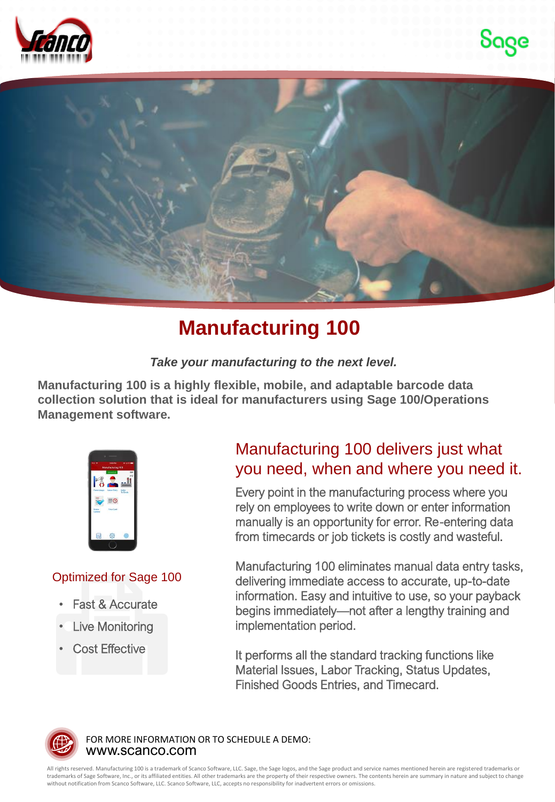





## **Manufacturing 100**

*Take your manufacturing to the next level.*

**Manufacturing 100 is a highly flexible, mobile, and adaptable barcode data collection solution that is ideal for manufacturers using Sage 100/Operations Management software.** 



## Optimized for Sage 100

- **Fast & Accurate**
- **Live Monitoring**
- **Cost Effective**

## Manufacturing 100 delivers just what you need, when and where you need it.

Every point in the manufacturing process where you rely on employees to write down or enter information manually is an opportunity for error. Re-entering data from timecards or job tickets is costly and wasteful.

Manufacturing 100 eliminates manual data entry tasks, delivering immediate access to accurate, up-to-date information. Easy and intuitive to use, so your payback begins immediately—not after a lengthy training and implementation period.

It performs all the standard tracking functions like Material Issues, Labor Tracking, Status Updates, Finished Goods Entries, and Timecard.



www.scanco.com FOR MORE INFORMATION OR TO SCHEDULE A DEMO:

All rights reserved. Manufacturing 100 is a trademark of Scanco Software, LLC. Sage, the Sage logos, and the Sage product and service names mentioned herein are registered trademarks or trademarks of Sage Software, Inc., or its affiliated entities. All other trademarks are the property of their respective owners. The contents herein are summary in nature and subject to change without notification from Scanco Software, LLC. Scanco Software, LLC, accepts no responsibility for inadvertent errors or omissions.